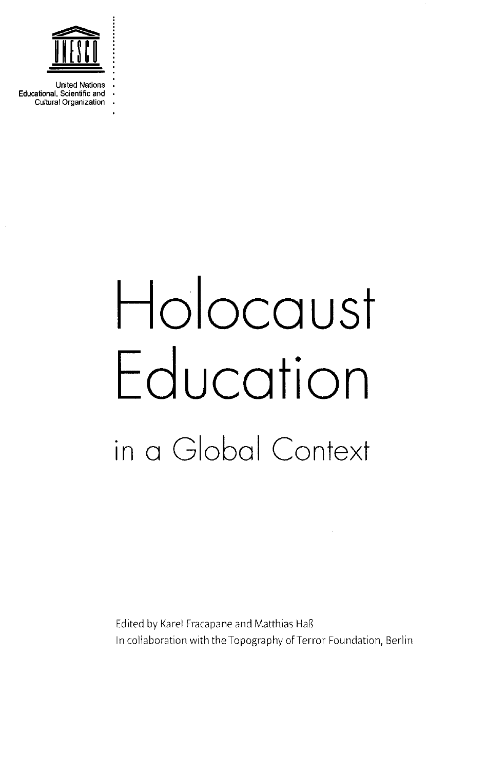

United Nations Educational, Scientific and • Cultural Organization

## **Ho ocoust Educotion in aGIobai Context**

Edited by Karel Fracapane and Matthias Haß In collaboration with the Topography of Terror Foundation, Berlin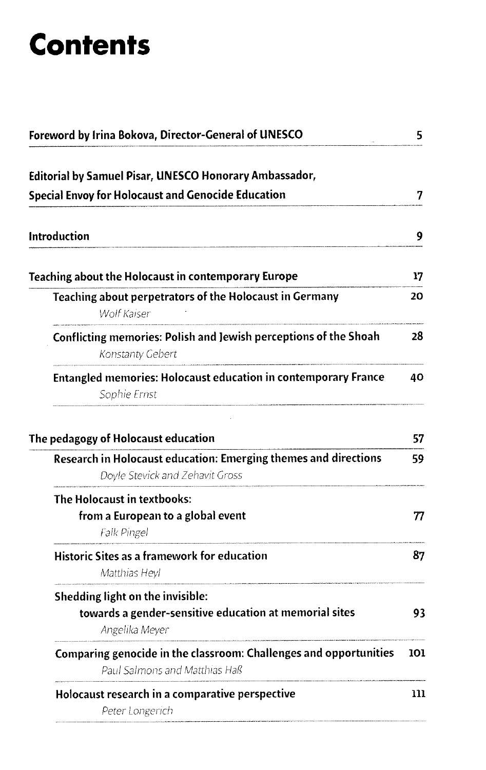## **Contents**

| Foreword by Irina Bokova, Director-General of UNESCO                                                         |     |
|--------------------------------------------------------------------------------------------------------------|-----|
| Editorial by Samuel Pisar, UNESCO Honorary Ambassador,                                                       |     |
| <b>Special Envoy for Holocaust and Genocide Education</b>                                                    | 7   |
| <b>Introduction</b>                                                                                          | 9   |
| Teaching about the Holocaust in contemporary Europe                                                          | 17  |
| Teaching about perpetrators of the Holocaust in Germany<br><b>Wolf Kaiser</b>                                | 20  |
| Conflicting memories: Polish and Jewish perceptions of the Shoah<br>Konstanty Gebert                         | 28  |
| <b>Entangled memories: Holocaust education in contemporary France</b><br>Sophie Ernst                        | 40  |
| The pedagogy of Holocaust education                                                                          | 57  |
| Research in Holocaust education: Emerging themes and directions<br>Doyle Stevick and Zehavit Gross           | 59  |
| The Holocaust in textbooks:<br>from a European to a global event<br>Falk Pingel                              | 77  |
| Historic Sites as a framework for education<br>Matthias Heyl                                                 | 87  |
| Shedding light on the invisible:<br>towards a gender-sensitive education at memorial sites<br>Angelika Meyer | 93  |
| Comparing genocide in the classroom: Challenges and opportunities<br>Paul Salmons and Matthias Haß           | 101 |
| Holocaust research in a comparative perspective<br>Peter Longerich                                           | 111 |